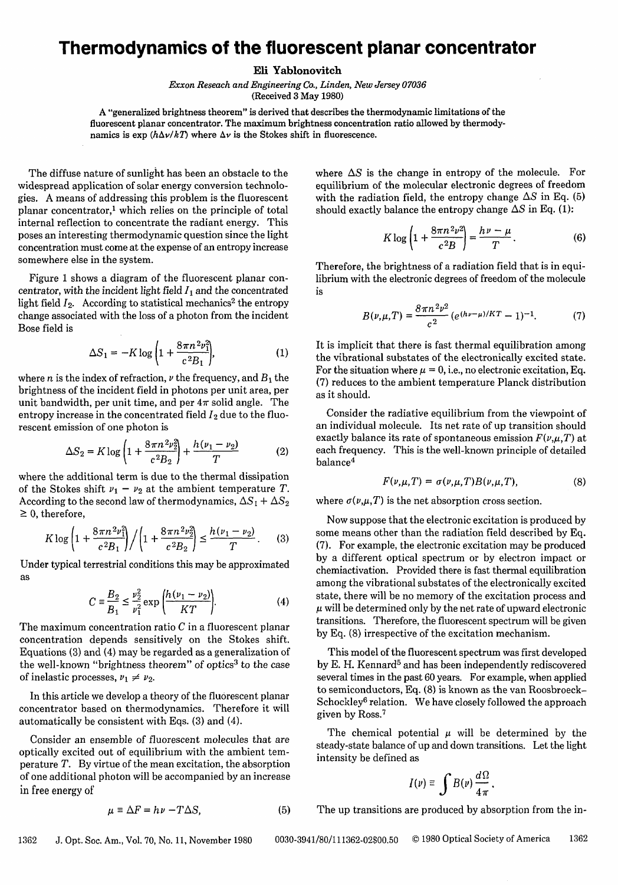## **Thermodynamics of the fluorescent planar concentrator**

Eli **Yablonovitch**

*Exxon Reseach and Engineering Co., Linden, New Jersey 07036* (Received 3 May 1980)

A "generalized brightness theorem" is derived that describes the thermodynamic limitations of the fluorescent planar concentrator. The maximum brightness concentration ratio allowed by thermodynamics is  $\exp(h\Delta v/kT)$  where  $\Delta v$  is the Stokes shift in fluorescence.

The diffuse nature of sunlight has been an obstacle to the widespread application of solar energy conversion technologies. A means of addressing this problem is the fluorescent planar concentrator,1 which relies on the principle of total internal reflection to concentrate the radiant energy. This poses an interesting thermodynamic question since the light concentration must come at the expense of an entropy increase somewhere else in the system.

Figure 1 shows a diagram of the fluorescent planar concentrator, with the incident light field  $I_1$  and the concentrated light field  $I_2$ . According to statistical mechanics<sup>2</sup> the entropy change associated with the loss of a photon from the incident Bose field is

$$
\Delta S_1 = -K \log \left( 1 + \frac{8\pi n^2 v_1^2}{c^2 B_1} \right),\tag{1}
$$

where *n* is the index of refraction,  $\nu$  the frequency, and  $B_1$  the brightness of the incident field in photons per unit area, per unit bandwidth, per unit time, and per  $4\pi$  solid angle. The entropy increase in the concentrated field  $I_2$  due to the fluorescent emission of one photon is

$$
\Delta S_2 = K \log \left( 1 + \frac{8\pi n^2 \nu_2^2}{c^2 B_2} \right) + \frac{h(\nu_1 - \nu_2)}{T}
$$
 (2)

where the additional term is due to the thermal dissipation of the Stokes shift  $\nu_1 - \nu_2$  at the ambient temperature T. According to the second law of thermodynamics,  $\Delta S_1 + \Delta S_2$  $\geq 0$ , therefore,

$$
K \log \left( 1 + \frac{8\pi n^2 \nu_1^2}{c^2 B_1} \right) / \left( 1 + \frac{8\pi n^2 \nu_2^2}{c^2 B_2} \right) \le \frac{h(\nu_1 - \nu_2)}{T} \,. \tag{3}
$$

Under typical terrestrial conditions this may be approximated as

$$
C = \frac{B_2}{B_1} \le \frac{\nu_2^2}{\nu_1^2} \exp\left(\frac{h(\nu_1 - \nu_2)}{KT}\right).
$$
 (4)

The maximum concentration ratio  $C$  in a fluorescent planar concentration depends sensitively on the Stokes shift. Equations (3) and (4) may be regarded as a generalization of the well-known "brightness theorem" of optics<sup>3</sup> to the case of inelastic processes,  $v_1 \neq v_2$ .

In this article we develop a theory of the fluorescent planar concentrator based on thermodynamics. Therefore it will automatically be consistent with Eqs. (3) and (4).

Consider an ensemble of fluorescent molecules that are optically excited out of equilibrium with the ambient temperature T. By virtue of the mean excitation, the absorption of one additional photon will be accompanied by an increase in free energy of

$$
\mu \equiv \Delta F = h\nu - T\Delta S,\tag{5}
$$

where  $\Delta S$  is the change in entropy of the molecule. For equilibrium of the molecular electronic degrees of freedom with the radiation field, the entropy change  $\Delta S$  in Eq. (5) should exactly balance the entropy change  $\Delta S$  in Eq. (1):

$$
K \log \left( 1 + \frac{8\pi n^2 \nu^2}{c^2 B} \right) = \frac{h\nu - \mu}{T}.
$$
 (6)

Therefore, the brightness of a radiation field that is in equilibrium with the electronic degrees of freedom of the molecule is

$$
B(\nu,\mu,T) = \frac{8\pi n^2 \nu^2}{c^2} \left( e^{(h\nu-\mu)/KT} - 1 \right)^{-1}.
$$
 (7)

It is implicit that there is fast thermal equilibration among the vibrational substates of the electronically excited state. For the situation where  $\mu = 0$ , i.e., no electronic excitation, Eq. (7) reduces to the ambient temperature Planck distribution as it should.

Consider the radiative equilibrium from the viewpoint of an individual molecule. Its net rate of up transition should exactly balance its rate of spontaneous emission  $F(\nu,\mu,T)$  at each frequency. This is the well-known principle of detailed balance<sup>4</sup>

$$
F(\nu,\mu,T) = \sigma(\nu,\mu,T)B(\nu,\mu,T),\tag{8}
$$

where  $\sigma(\nu,\mu,T)$  is the net absorption cross section.

Now suppose that the electronic excitation is produced by some means other than the radiation field described by Eq. (7). For example, the electronic excitation may be produced by a different optical spectrum or by electron impact or chemiactivation. Provided there is fast thermal equilibration among the vibrational substates of the electronically excited state, there will be no memory of the excitation process and  $\mu$  will be determined only by the net rate of upward electronic transitions. Therefore, the fluorescent spectrum will be given by Eq. (8) irrespective of the excitation mechanism.

This model of the fluorescent spectrum was first developed by E. H. Kennard<sup>5</sup> and has been independently rediscovered several times in the past 60 years. For example, when applied to semiconductors, Eq. (8) is known as the van Roosbroeck-Schockley<sup>6</sup> relation. We have closely followed the approach given by Ross.<sup>7</sup>

The chemical potential  $\mu$  will be determined by the steady-state balance of up and down transitions. Let the light intensity be defined as

$$
I(\nu) \equiv \int B(\nu) \frac{d\Omega}{4\pi}.
$$

The up transitions are produced by absorption from the in-